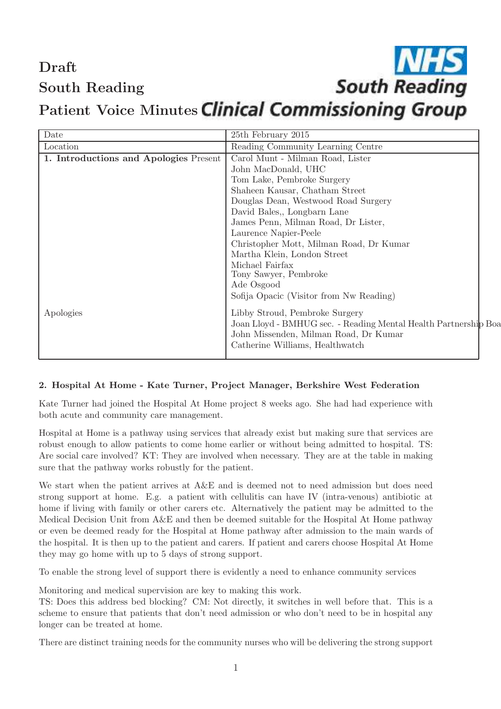# Draft South Reading

# **South Reading** Patient Voice Minutes Clinical Commissioning Group

| Date                                   | 25th February 2015                                              |
|----------------------------------------|-----------------------------------------------------------------|
| Location                               | Reading Community Learning Centre                               |
| 1. Introductions and Apologies Present | Carol Munt - Milman Road, Lister                                |
|                                        | John MacDonald, UHC                                             |
|                                        | Tom Lake, Pembroke Surgery                                      |
|                                        | Shaheen Kausar, Chatham Street                                  |
|                                        | Douglas Dean, Westwood Road Surgery                             |
|                                        | David Bales,, Longbarn Lane                                     |
|                                        | James Penn, Milman Road, Dr Lister,                             |
|                                        | Laurence Napier-Peele                                           |
|                                        | Christopher Mott, Milman Road, Dr Kumar                         |
|                                        | Martha Klein, London Street                                     |
|                                        | Michael Fairfax                                                 |
|                                        | Tony Sawyer, Pembroke                                           |
|                                        | Ade Osgood                                                      |
|                                        | Sofija Opacic (Visitor from Nw Reading)                         |
| Apologies                              | Libby Stroud, Pembroke Surgery                                  |
|                                        | Joan Lloyd - BMHUG sec. - Reading Mental Health Partnership Boa |
|                                        | John Missenden, Milman Road, Dr Kumar                           |
|                                        | Catherine Williams, Healthwatch                                 |
|                                        |                                                                 |

# 2. Hospital At Home - Kate Turner, Project Manager, Berkshire West Federation

Kate Turner had joined the Hospital At Home project 8 weeks ago. She had had experience with both acute and community care management.

Hospital at Home is a pathway using services that already exist but making sure that services are robust enough to allow patients to come home earlier or without being admitted to hospital. TS: Are social care involved? KT: They are involved when necessary. They are at the table in making sure that the pathway works robustly for the patient.

We start when the patient arrives at  $A\&E$  and is deemed not to need admission but does need strong support at home. E.g. a patient with cellulitis can have IV (intra-venous) antibiotic at home if living with family or other carers etc. Alternatively the patient may be admitted to the Medical Decision Unit from A&E and then be deemed suitable for the Hospital At Home pathway or even be deemed ready for the Hospital at Home pathway after admission to the main wards of the hospital. It is then up to the patient and carers. If patient and carers choose Hospital At Home they may go home with up to 5 days of strong support.

To enable the strong level of support there is evidently a need to enhance community services

Monitoring and medical supervision are key to making this work.

TS: Does this address bed blocking? CM: Not directly, it switches in well before that. This is a scheme to ensure that patients that don't need admission or who don't need to be in hospital any longer can be treated at home.

There are distinct training needs for the community nurses who will be delivering the strong support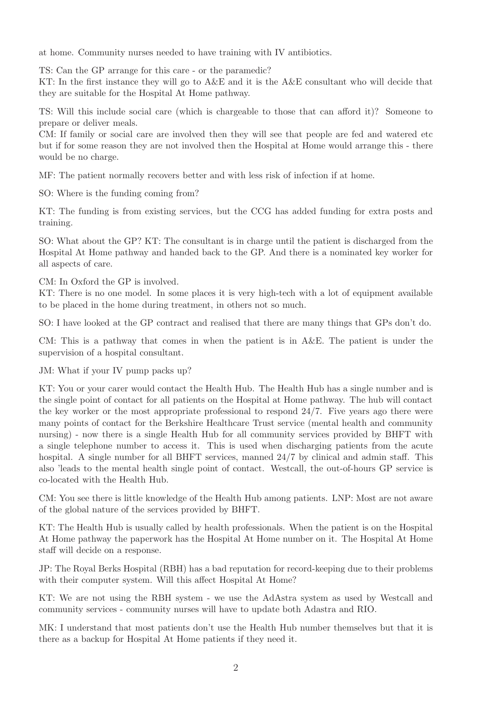at home. Community nurses needed to have training with IV antibiotics.

TS: Can the GP arrange for this care - or the paramedic?

KT: In the first instance they will go to A&E and it is the A&E consultant who will decide that they are suitable for the Hospital At Home pathway.

TS: Will this include social care (which is chargeable to those that can afford it)? Someone to prepare or deliver meals.

CM: If family or social care are involved then they will see that people are fed and watered etc but if for some reason they are not involved then the Hospital at Home would arrange this - there would be no charge.

MF: The patient normally recovers better and with less risk of infection if at home.

SO: Where is the funding coming from?

KT: The funding is from existing services, but the CCG has added funding for extra posts and training.

SO: What about the GP? KT: The consultant is in charge until the patient is discharged from the Hospital At Home pathway and handed back to the GP. And there is a nominated key worker for all aspects of care.

CM: In Oxford the GP is involved.

KT: There is no one model. In some places it is very high-tech with a lot of equipment available to be placed in the home during treatment, in others not so much.

SO: I have looked at the GP contract and realised that there are many things that GPs don't do.

CM: This is a pathway that comes in when the patient is in A&E. The patient is under the supervision of a hospital consultant.

JM: What if your IV pump packs up?

KT: You or your carer would contact the Health Hub. The Health Hub has a single number and is the single point of contact for all patients on the Hospital at Home pathway. The hub will contact the key worker or the most appropriate professional to respond 24/7. Five years ago there were many points of contact for the Berkshire Healthcare Trust service (mental health and community nursing) - now there is a single Health Hub for all community services provided by BHFT with a single telephone number to access it. This is used when discharging patients from the acute hospital. A single number for all BHFT services, manned  $24/7$  by clinical and admin staff. This also 'leads to the mental health single point of contact. Westcall, the out-of-hours GP service is co-located with the Health Hub.

CM: You see there is little knowledge of the Health Hub among patients. LNP: Most are not aware of the global nature of the services provided by BHFT.

KT: The Health Hub is usually called by health professionals. When the patient is on the Hospital At Home pathway the paperwork has the Hospital At Home number on it. The Hospital At Home staff will decide on a response.

JP: The Royal Berks Hospital (RBH) has a bad reputation for record-keeping due to their problems with their computer system. Will this affect Hospital At Home?

KT: We are not using the RBH system - we use the AdAstra system as used by Westcall and community services - community nurses will have to update both Adastra and RIO.

MK: I understand that most patients don't use the Health Hub number themselves but that it is there as a backup for Hospital At Home patients if they need it.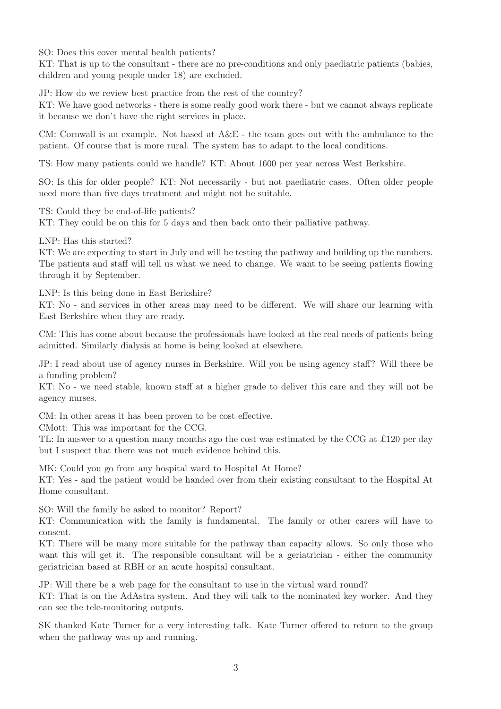SO: Does this cover mental health patients?

KT: That is up to the consultant - there are no pre-conditions and only paediatric patients (babies, children and young people under 18) are excluded.

JP: How do we review best practice from the rest of the country?

KT: We have good networks - there is some really good work there - but we cannot always replicate it because we don't have the right services in place.

CM: Cornwall is an example. Not based at  $A\&E$  - the team goes out with the ambulance to the patient. Of course that is more rural. The system has to adapt to the local conditions.

TS: How many patients could we handle? KT: About 1600 per year across West Berkshire.

SO: Is this for older people? KT: Not necessarily - but not paediatric cases. Often older people need more than five days treatment and might not be suitable.

TS: Could they be end-of-life patients?

KT: They could be on this for 5 days and then back onto their palliative pathway.

LNP: Has this started?

KT: We are expecting to start in July and will be testing the pathway and building up the numbers. The patients and staff will tell us what we need to change. We want to be seeing patients flowing through it by September.

LNP: Is this being done in East Berkshire?

KT: No - and services in other areas may need to be different. We will share our learning with East Berkshire when they are ready.

CM: This has come about because the professionals have looked at the real needs of patients being admitted. Similarly dialysis at home is being looked at elsewhere.

JP: I read about use of agency nurses in Berkshire. Will you be using agency staff? Will there be a funding problem?

KT: No - we need stable, known staff at a higher grade to deliver this care and they will not be agency nurses.

CM: In other areas it has been proven to be cost effective.

CMott: This was important for the CCG.

TL: In answer to a question many months ago the cost was estimated by the CCG at £120 per day but I suspect that there was not much evidence behind this.

MK: Could you go from any hospital ward to Hospital At Home?

KT: Yes - and the patient would be handed over from their existing consultant to the Hospital At Home consultant.

SO: Will the family be asked to monitor? Report?

KT: Communication with the family is fundamental. The family or other carers will have to consent.

KT: There will be many more suitable for the pathway than capacity allows. So only those who want this will get it. The responsible consultant will be a geriatrician - either the community geriatrician based at RBH or an acute hospital consultant.

JP: Will there be a web page for the consultant to use in the virtual ward round? KT: That is on the AdAstra system. And they will talk to the nominated key worker. And they can see the tele-monitoring outputs.

SK thanked Kate Turner for a very interesting talk. Kate Turner offered to return to the group when the pathway was up and running.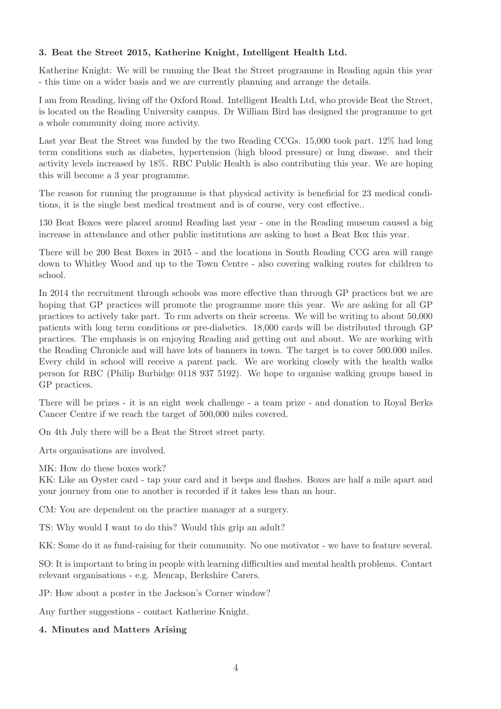## 3. Beat the Street 2015, Katherine Knight, Intelligent Health Ltd.

Katherine Knight: We will be running the Beat the Street programme in Reading again this year - this time on a wider basis and we are currently planning and arrange the details.

I am from Reading, living off the Oxford Road. Intelligent Health Ltd, who provide Beat the Street, is located on the Reading University campus. Dr William Bird has designed the programme to get a whole community doing more activity.

Last year Beat the Street was funded by the two Reading CCGs. 15,000 took part. 12% had long term conditions such as diabetes, hypertension (high blood pressure) or lung disease. and their activity levels increased by 18%. RBC Public Health is also contributing this year. We are hoping this will become a 3 year programme.

The reason for running the programme is that physical activity is beneficial for 23 medical conditions, it is the single best medical treatment and is of course, very cost effective..

130 Beat Boxes were placed around Reading last year - one in the Reading museum caused a big increase in attendance and other public institutions are asking to host a Beat Box this year.

There will be 200 Beat Boxes in 2015 - and the locations in South Reading CCG area will range down to Whitley Wood and up to the Town Centre - also covering walking routes for children to school.

In 2014 the recruitment through schools was more effective than through GP practices but we are hoping that GP practices will promote the programme more this year. We are asking for all GP practices to actively take part. To run adverts on their screens. We will be writing to about 50,000 patients with long term conditions or pre-diabetics. 18,000 cards will be distributed through GP practices. The emphasis is on enjoying Reading and getting out and about. We are working with the Reading Chronicle and will have lots of banners in town. The target is to cover 500.000 miles. Every child in school will receive a parent pack. We are working closely with the health walks person for RBC (Philip Burbidge 0118 937 5192). We hope to organise walking groups based in GP practices.

There will be prizes - it is an eight week challenge - a team prize - and donation to Royal Berks Cancer Centre if we reach the target of 500,000 miles covered.

On 4th July there will be a Beat the Street street party.

Arts organisations are involved.

MK: How do these boxes work?

KK: Like an Oyster card - tap your card and it beeps and flashes. Boxes are half a mile apart and your journey from one to another is recorded if it takes less than an hour.

CM: You are dependent on the practice manager at a surgery.

TS: Why would I want to do this? Would this grip an adult?

KK: Some do it as fund-raising for their community. No one motivator - we have to feature several.

SO: It is important to bring in people with learning difficulties and mental health problems. Contact relevant organisations - e.g. Mencap, Berkshire Carers.

JP: How about a poster in the Jackson's Corner window?

Any further suggestions - contact Katherine Knight.

#### 4. Minutes and Matters Arising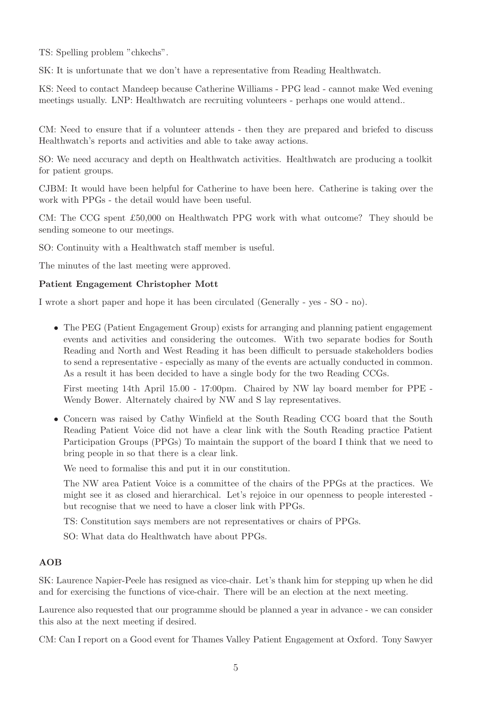TS: Spelling problem "chkechs".

SK: It is unfortunate that we don't have a representative from Reading Healthwatch.

KS: Need to contact Mandeep because Catherine Williams - PPG lead - cannot make Wed evening meetings usually. LNP: Healthwatch are recruiting volunteers - perhaps one would attend..

CM: Need to ensure that if a volunteer attends - then they are prepared and briefed to discuss Healthwatch's reports and activities and able to take away actions.

SO: We need accuracy and depth on Healthwatch activities. Healthwatch are producing a toolkit for patient groups.

CJBM: It would have been helpful for Catherine to have been here. Catherine is taking over the work with PPGs - the detail would have been useful.

CM: The CCG spent £50,000 on Healthwatch PPG work with what outcome? They should be sending someone to our meetings.

SO: Continuity with a Healthwatch staff member is useful.

The minutes of the last meeting were approved.

#### Patient Engagement Christopher Mott

I wrote a short paper and hope it has been circulated (Generally - yes - SO - no).

• The PEG (Patient Engagement Group) exists for arranging and planning patient engagement events and activities and considering the outcomes. With two separate bodies for South Reading and North and West Reading it has been difficult to persuade stakeholders bodies to send a representative - especially as many of the events are actually conducted in common. As a result it has been decided to have a single body for the two Reading CCGs.

First meeting 14th April 15.00 - 17:00pm. Chaired by NW lay board member for PPE - Wendy Bower. Alternately chaired by NW and S lay representatives.

• Concern was raised by Cathy Winfield at the South Reading CCG board that the South Reading Patient Voice did not have a clear link with the South Reading practice Patient Participation Groups (PPGs) To maintain the support of the board I think that we need to bring people in so that there is a clear link.

We need to formalise this and put it in our constitution.

The NW area Patient Voice is a committee of the chairs of the PPGs at the practices. We might see it as closed and hierarchical. Let's rejoice in our openness to people interested but recognise that we need to have a closer link with PPGs.

TS: Constitution says members are not representatives or chairs of PPGs.

SO: What data do Healthwatch have about PPGs.

## AOB

SK: Laurence Napier-Peele has resigned as vice-chair. Let's thank him for stepping up when he did and for exercising the functions of vice-chair. There will be an election at the next meeting.

Laurence also requested that our programme should be planned a year in advance - we can consider this also at the next meeting if desired.

CM: Can I report on a Good event for Thames Valley Patient Engagement at Oxford. Tony Sawyer